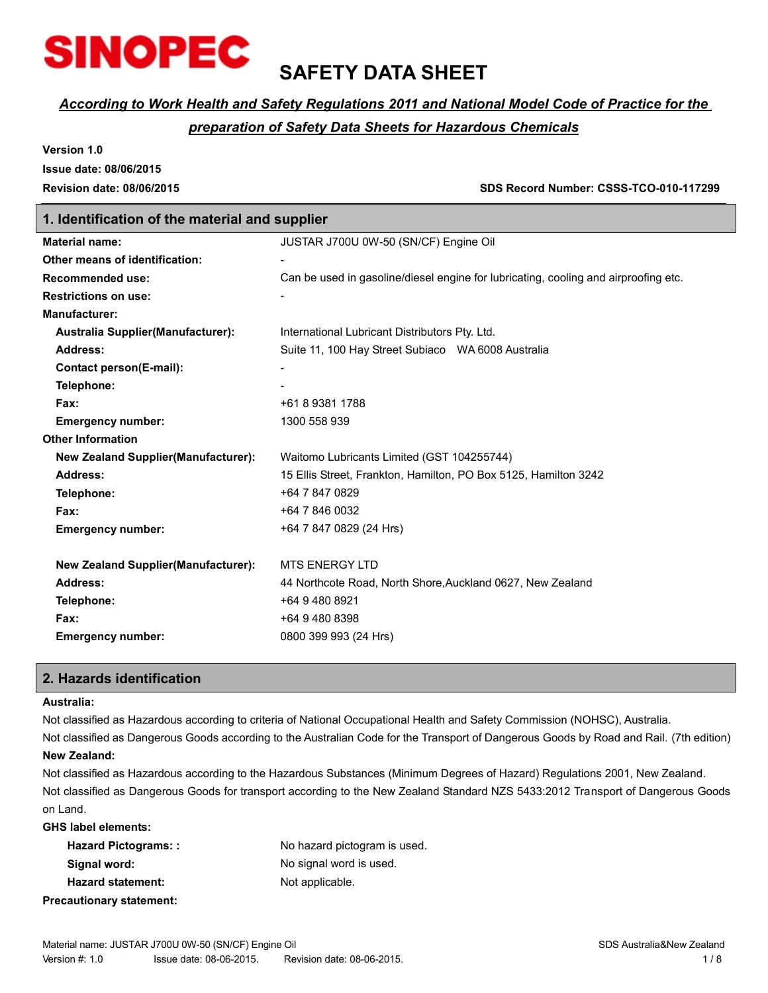

### **SAFETY DATA SHEET**

### *According to Work Health and Safety Regulations 2011 and National Model Code of Practice for the*

### *preparation of Safety Data Sheets for Hazardous Chemicals*

**Version 1.0**

**Issue date: 08/06/2015**

**Revision date: 08/06/2015 SDS Record Number: CSSS-TCO-010-117299**

### **1. Identification of the material and supplier**

| <b>Material name:</b>                       | JUSTAR J700U 0W-50 (SN/CF) Engine Oil                                               |
|---------------------------------------------|-------------------------------------------------------------------------------------|
| Other means of identification:              |                                                                                     |
| <b>Recommended use:</b>                     | Can be used in gasoline/diesel engine for lubricating, cooling and airproofing etc. |
| <b>Restrictions on use:</b>                 |                                                                                     |
| <b>Manufacturer:</b>                        |                                                                                     |
| <b>Australia Supplier (Manufacturer):</b>   | International Lubricant Distributors Pty. Ltd.                                      |
| Address:                                    | Suite 11, 100 Hay Street Subiaco WA 6008 Australia                                  |
| <b>Contact person(E-mail):</b>              |                                                                                     |
| Telephone:                                  |                                                                                     |
| Fax:                                        | +61 8 9381 1788                                                                     |
| <b>Emergency number:</b>                    | 1300 558 939                                                                        |
| <b>Other Information</b>                    |                                                                                     |
| <b>New Zealand Supplier (Manufacturer):</b> | Waitomo Lubricants Limited (GST 104255744)                                          |
| <b>Address:</b>                             | 15 Ellis Street, Frankton, Hamilton, PO Box 5125, Hamilton 3242                     |
| Telephone:                                  | +64 7 847 0829                                                                      |
| Fax:                                        | +64 7 846 0032                                                                      |
| <b>Emergency number:</b>                    | +64 7 847 0829 (24 Hrs)                                                             |
|                                             |                                                                                     |
| <b>New Zealand Supplier (Manufacturer):</b> | <b>MTS ENERGY LTD</b>                                                               |
| Address:                                    | 44 Northcote Road, North Shore, Auckland 0627, New Zealand                          |
| Telephone:                                  | +64 9 480 8921                                                                      |
| Fax:                                        | +64 9 480 8398                                                                      |
| <b>Emergency number:</b>                    | 0800 399 993 (24 Hrs)                                                               |
|                                             |                                                                                     |

### **2. Hazards identification**

### **Australia:**

Not classified as Hazardous according to criteria of National Occupational Health and Safety Commission (NOHSC), Australia.

Not classified as Dangerous Goods according to the Australian Code for the Transport of Dangerous Goods by Road and Rail. (7th edition) **New Zealand:**

Not classified as Hazardous according to the Hazardous Substances (Minimum Degrees of Hazard) Regulations 2001, New Zealand. Not classified as Dangerous Goods for transport according to the New Zealand Standard NZS 5433:2012 Transport of Dangerous Goods on Land.

**GHS label elements:**

| <b>Hazard Pictograms::</b>      | No hazard pictogram is used. |
|---------------------------------|------------------------------|
| Signal word:                    | No signal word is used.      |
| <b>Hazard statement:</b>        | Not applicable.              |
| <b>Precautionary statement:</b> |                              |

Material name: JUSTAR J700U 0W-50 (SN/CF) Engine Oil SDS Australia BLC Australia BDS Australia&New Zealand Version #: 1.0 Issue date: 08-06-2015. Revision date: 08-06-2015. In the state of the state of the state of the state of the state of the state of the state of the state of the state of the state of the state of the state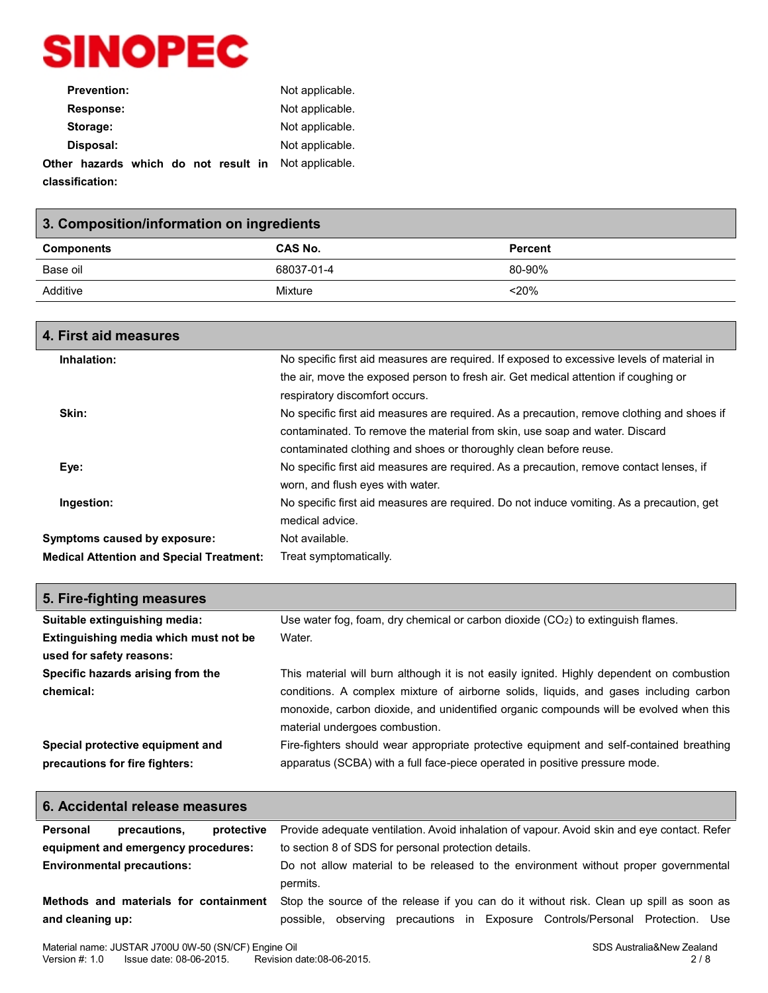

| <b>Prevention:</b>                   | Not applicable. |
|--------------------------------------|-----------------|
| Response:                            | Not applicable. |
| Storage:                             | Not applicable. |
| Disposal:                            | Not applicable. |
| Other hazards which do not result in | Not applicable. |
| classification:                      |                 |

| 3. Composition/information on ingredients |            |                |  |
|-------------------------------------------|------------|----------------|--|
| <b>Components</b>                         | CAS No.    | <b>Percent</b> |  |
| Base oil                                  | 68037-01-4 | 80-90%         |  |
| Additive                                  | Mixture    | $<$ 20%        |  |
|                                           |            |                |  |

| 4. First aid measures                           |                                                                                                                             |
|-------------------------------------------------|-----------------------------------------------------------------------------------------------------------------------------|
| Inhalation:                                     | No specific first aid measures are required. If exposed to excessive levels of material in                                  |
|                                                 | the air, move the exposed person to fresh air. Get medical attention if coughing or<br>respiratory discomfort occurs.       |
| Skin:                                           | No specific first aid measures are required. As a precaution, remove clothing and shoes if                                  |
|                                                 | contaminated. To remove the material from skin, use soap and water. Discard                                                 |
|                                                 | contaminated clothing and shoes or thoroughly clean before reuse.                                                           |
| Eye:                                            | No specific first aid measures are required. As a precaution, remove contact lenses, if<br>worn, and flush eyes with water. |
| Ingestion:                                      | No specific first aid measures are required. Do not induce vomiting. As a precaution, get                                   |
|                                                 | medical advice.                                                                                                             |
| Symptoms caused by exposure:                    | Not available.                                                                                                              |
| <b>Medical Attention and Special Treatment:</b> | Treat symptomatically.                                                                                                      |

| 5. Fire-fighting measures             |                                                                                           |
|---------------------------------------|-------------------------------------------------------------------------------------------|
| Suitable extinguishing media:         | Use water fog, foam, dry chemical or carbon dioxide $(CO2)$ to extinguish flames.         |
| Extinguishing media which must not be | Water.                                                                                    |
| used for safety reasons:              |                                                                                           |
| Specific hazards arising from the     | This material will burn although it is not easily ignited. Highly dependent on combustion |
| chemical:                             | conditions. A complex mixture of airborne solids, liquids, and gases including carbon     |
|                                       | monoxide, carbon dioxide, and unidentified organic compounds will be evolved when this    |
|                                       | material undergoes combustion.                                                            |
| Special protective equipment and      | Fire-fighters should wear appropriate protective equipment and self-contained breathing   |
| precautions for fire fighters:        | apparatus (SCBA) with a full face-piece operated in positive pressure mode.               |

| 6. Accidental release measures                                                                                                                                                                                                           |                                                                                                 |  |
|------------------------------------------------------------------------------------------------------------------------------------------------------------------------------------------------------------------------------------------|-------------------------------------------------------------------------------------------------|--|
| Personal<br>precautions.<br>protective                                                                                                                                                                                                   | Provide adequate ventilation. Avoid inhalation of vapour. Avoid skin and eye contact. Refer     |  |
| equipment and emergency procedures:                                                                                                                                                                                                      | to section 8 of SDS for personal protection details.                                            |  |
| <b>Environmental precautions:</b>                                                                                                                                                                                                        | Do not allow material to be released to the environment without proper governmental<br>permits. |  |
| Stop the source of the release if you can do it without risk. Clean up spill as soon as<br>Methods and materials for containment<br>and cleaning up:<br>observing precautions in Exposure Controls/Personal Protection. Use<br>possible. |                                                                                                 |  |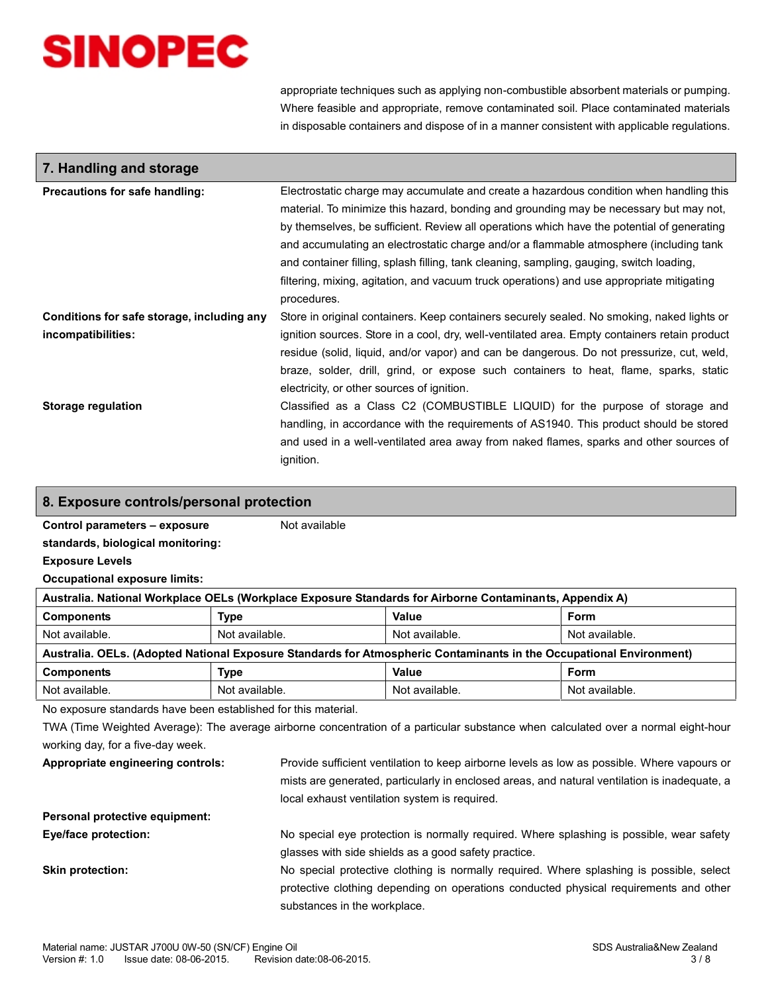appropriate techniques such as applying non-combustible absorbent materials or pumping. Where feasible and appropriate, remove contaminated soil. Place contaminated materials in disposable containers and dispose of in a manner consistent with applicable regulations.

| 7. Handling and storage                                          |                                                                                                                                                                                                                                                                                                                                                                                                                                                                                                                                                                    |
|------------------------------------------------------------------|--------------------------------------------------------------------------------------------------------------------------------------------------------------------------------------------------------------------------------------------------------------------------------------------------------------------------------------------------------------------------------------------------------------------------------------------------------------------------------------------------------------------------------------------------------------------|
| Precautions for safe handling:                                   | Electrostatic charge may accumulate and create a hazardous condition when handling this<br>material. To minimize this hazard, bonding and grounding may be necessary but may not,<br>by themselves, be sufficient. Review all operations which have the potential of generating<br>and accumulating an electrostatic charge and/or a flammable atmosphere (including tank<br>and container filling, splash filling, tank cleaning, sampling, gauging, switch loading,<br>filtering, mixing, agitation, and vacuum truck operations) and use appropriate mitigating |
|                                                                  | procedures.                                                                                                                                                                                                                                                                                                                                                                                                                                                                                                                                                        |
| Conditions for safe storage, including any<br>incompatibilities: | Store in original containers. Keep containers securely sealed. No smoking, naked lights or<br>ignition sources. Store in a cool, dry, well-ventilated area. Empty containers retain product<br>residue (solid, liquid, and/or vapor) and can be dangerous. Do not pressurize, cut, weld,<br>braze, solder, drill, grind, or expose such containers to heat, flame, sparks, static<br>electricity, or other sources of ignition.                                                                                                                                    |
| Storage regulation                                               | Classified as a Class C2 (COMBUSTIBLE LIQUID) for the purpose of storage and<br>handling, in accordance with the requirements of AS1940. This product should be stored<br>and used in a well-ventilated area away from naked flames, sparks and other sources of<br>ignition.                                                                                                                                                                                                                                                                                      |

### **8. Exposure controls/personal protection**

**Control parameters – exposure**

**standards, biological monitoring:**

**Exposure Levels**

**Occupational exposure limits:**

| Australia. National Workplace OELs (Workplace Exposure Standards for Airborne Contaminants, Appendix A)             |                |                |                |
|---------------------------------------------------------------------------------------------------------------------|----------------|----------------|----------------|
| <b>Components</b>                                                                                                   | Type           | Value          | Form           |
| Not available.                                                                                                      | Not available. | Not available. | Not available. |
| Australia. OELs. (Adopted National Exposure Standards for Atmospheric Contaminants in the Occupational Environment) |                |                |                |
| <b>Components</b>                                                                                                   | Type           | Value          | Form           |
| Not available.                                                                                                      | Not available. | Not available. | Not available. |

Not available

No exposure standards have been established for this material.

TWA (Time Weighted Average): The average airborne concentration of a particular substance when calculated over a normal eight-hour working day, for a five-day week.

**Appropriate engineering controls:** Provide sufficient ventilation to keep airborne levels as low as possible. Where vapours or mists are generated, particularly in enclosed areas, and natural ventilation is inadequate, a local exhaust ventilation system is required.

### **Personal protective equipment:**

**Eye/face protection:** No special eye protection is normally required. Where splashing is possible, wear safety glasses with side shields as a good safety practice.

**Skin protection:** No special protective clothing is normally required. Where splashing is possible, select protective clothing depending on operations conducted physical requirements and other substances in the workplace.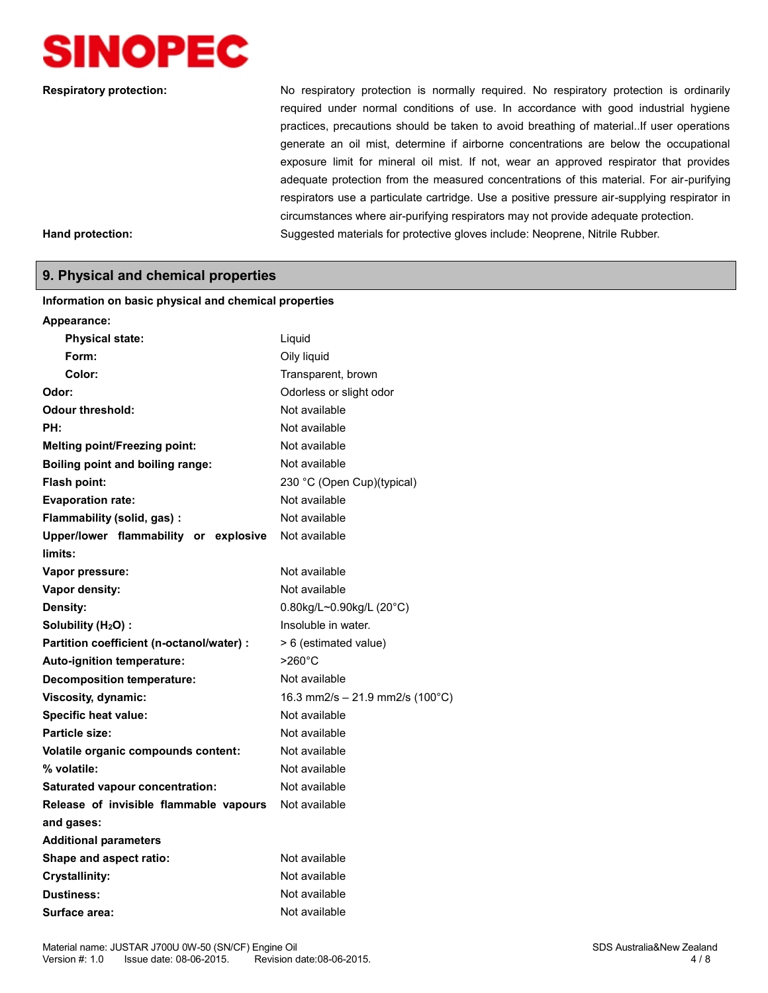

**Respiratory protection:** No respiratory protection is normally required. No respiratory protection is ordinarily required under normal conditions of use. In accordance with good industrial hygiene practices, precautions should be taken to avoid breathing of material..If user operations generate an oil mist, determine if airborne concentrations are below the occupational exposure limit for mineral oil mist. If not, wear an approved respirator that provides adequate protection from the measured concentrations of this material. For air-purifying respirators use a particulate cartridge. Use a positive pressure air-supplying respirator in circumstances where air-purifying respirators may not provide adequate protection. **Hand protection:** Suggested materials for protective gloves include: Neoprene, Nitrile Rubber.

### **9. Physical and chemical properties**

| Appearance:                               |                                              |
|-------------------------------------------|----------------------------------------------|
| <b>Physical state:</b>                    | Liquid                                       |
| Form:                                     | Oily liquid                                  |
| Color:                                    | Transparent, brown                           |
| Odor:                                     | Odorless or slight odor                      |
| Odour threshold:                          | Not available                                |
| PH:                                       | Not available                                |
| <b>Melting point/Freezing point:</b>      | Not available                                |
| <b>Boiling point and boiling range:</b>   | Not available                                |
| Flash point:                              | 230 °C (Open Cup)(typical)                   |
| <b>Evaporation rate:</b>                  | Not available                                |
| Flammability (solid, gas):                | Not available                                |
| Upper/lower flammability or explosive     | Not available                                |
| limits:                                   |                                              |
| Vapor pressure:                           | Not available                                |
| Vapor density:                            | Not available                                |
| Density:                                  | 0.80kg/L~0.90kg/L (20°C)                     |
| Solubility (H <sub>2</sub> O):            | Insoluble in water.                          |
| Partition coefficient (n-octanol/water) : | > 6 (estimated value)                        |
| Auto-ignition temperature:                | $>260^{\circ}$ C                             |
| <b>Decomposition temperature:</b>         | Not available                                |
| Viscosity, dynamic:                       | 16.3 mm2/s $-$ 21.9 mm2/s (100 $^{\circ}$ C) |
| <b>Specific heat value:</b>               | Not available                                |
| Particle size:                            | Not available                                |
| Volatile organic compounds content:       | Not available                                |
| % volatile:                               | Not available                                |
| <b>Saturated vapour concentration:</b>    | Not available                                |
| Release of invisible flammable vapours    | Not available                                |
| and gases:                                |                                              |
| <b>Additional parameters</b>              |                                              |
| Shape and aspect ratio:                   | Not available                                |
| <b>Crystallinity:</b>                     | Not available                                |
| <b>Dustiness:</b>                         | Not available                                |
| Surface area:                             | Not available                                |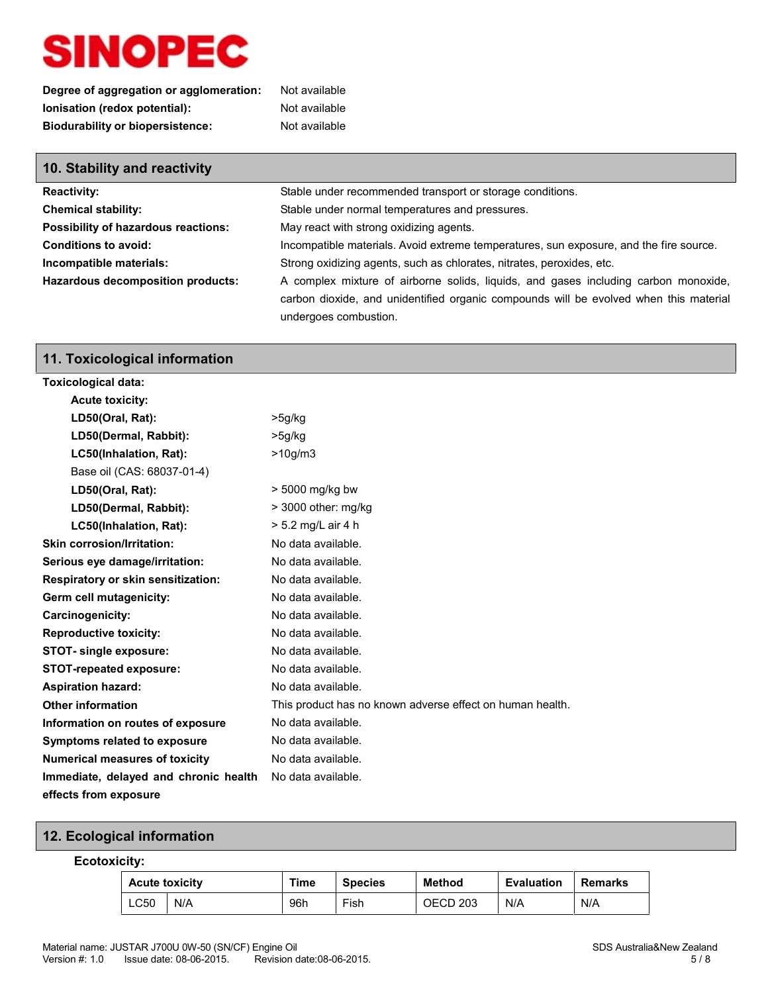| Degree of aggregation or agglomeration: | Not available |
|-----------------------------------------|---------------|
| lonisation (redox potential):           | Not available |
| <b>Biodurability or biopersistence:</b> | Not available |

| 10. Stability and reactivity             |                                                                                        |
|------------------------------------------|----------------------------------------------------------------------------------------|
| <b>Reactivity:</b>                       | Stable under recommended transport or storage conditions.                              |
| <b>Chemical stability:</b>               | Stable under normal temperatures and pressures.                                        |
| Possibility of hazardous reactions:      | May react with strong oxidizing agents.                                                |
| <b>Conditions to avoid:</b>              | Incompatible materials. Avoid extreme temperatures, sun exposure, and the fire source. |
| Incompatible materials:                  | Strong oxidizing agents, such as chlorates, nitrates, peroxides, etc.                  |
| <b>Hazardous decomposition products:</b> | A complex mixture of airborne solids, liquids, and gases including carbon monoxide,    |
|                                          | carbon dioxide, and unidentified organic compounds will be evolved when this material  |
|                                          | undergoes combustion.                                                                  |

### **11. Toxicological information**

| <b>Toxicological data:</b>            |                                                           |
|---------------------------------------|-----------------------------------------------------------|
| <b>Acute toxicity:</b>                |                                                           |
| LD50(Oral, Rat):                      | $>5$ g/kg                                                 |
| LD50(Dermal, Rabbit):                 | $>5$ g/kg                                                 |
| LC50(Inhalation, Rat):                | $>10$ g/m <sup>3</sup>                                    |
| Base oil (CAS: 68037-01-4)            |                                                           |
| LD50(Oral, Rat):                      | > 5000 mg/kg bw                                           |
| LD50(Dermal, Rabbit):                 | > 3000 other: mg/kg                                       |
| LC50(Inhalation, Rat):                | > 5.2 mg/L air 4 h                                        |
| <b>Skin corrosion/Irritation:</b>     | No data available.                                        |
| Serious eye damage/irritation:        | No data available.                                        |
| Respiratory or skin sensitization:    | No data available.                                        |
| Germ cell mutagenicity:               | No data available.                                        |
| Carcinogenicity:                      | No data available.                                        |
| <b>Reproductive toxicity:</b>         | No data available.                                        |
| <b>STOT-</b> single exposure:         | No data available.                                        |
| <b>STOT-repeated exposure:</b>        | No data available.                                        |
| <b>Aspiration hazard:</b>             | No data available.                                        |
| <b>Other information</b>              | This product has no known adverse effect on human health. |
| Information on routes of exposure     | No data available.                                        |
| <b>Symptoms related to exposure</b>   | No data available.                                        |
| <b>Numerical measures of toxicity</b> | No data available.                                        |
| Immediate, delayed and chronic health | No data available.                                        |
| effects from exposure                 |                                                           |

### **12. Ecological information**

### **Ecotoxicity:**

| <b>Acute toxicity</b> |     | Time | <b>Species</b> | <b>Method</b>       | <b>Evaluation</b> | Remarks |
|-----------------------|-----|------|----------------|---------------------|-------------------|---------|
| LC50                  | N/A | 96h  | Fish           | OECD <sub>203</sub> | N/A               | N/A     |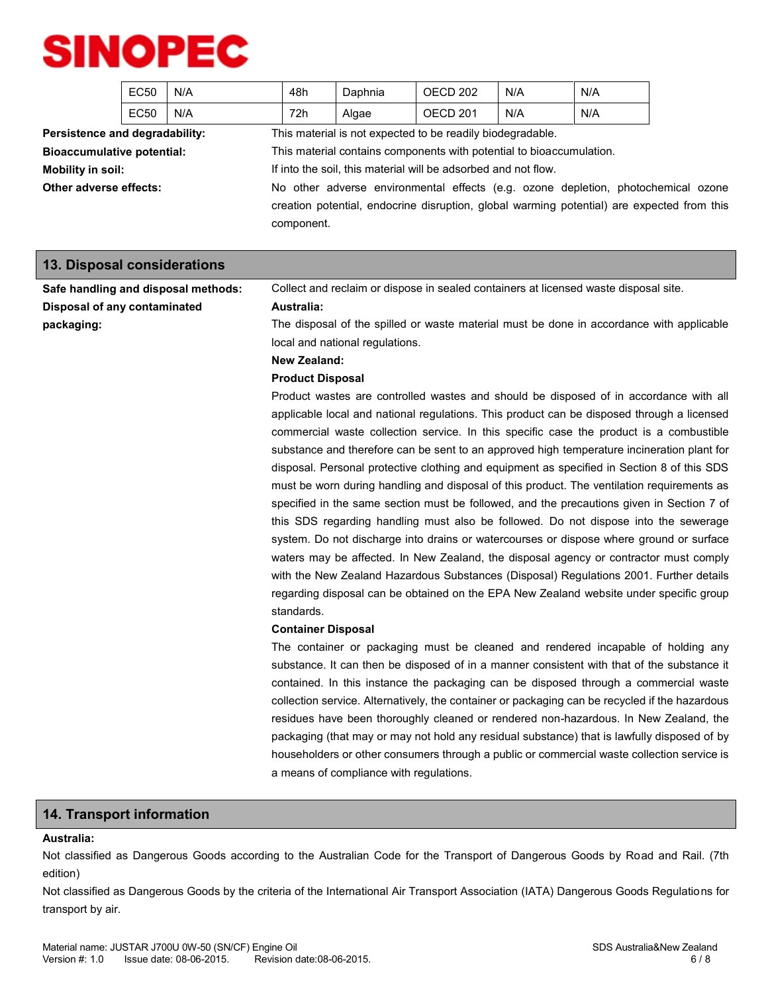|                                   | EC50             | N/A | 48h                                                                  | Daphnia | OECD 202                                                                                                                                                                        | N/A | N/A |  |
|-----------------------------------|------------------|-----|----------------------------------------------------------------------|---------|---------------------------------------------------------------------------------------------------------------------------------------------------------------------------------|-----|-----|--|
|                                   | EC <sub>50</sub> | N/A | 72h                                                                  | Algae   | OECD 201                                                                                                                                                                        | N/A | N/A |  |
| Persistence and degradability:    |                  |     |                                                                      |         | This material is not expected to be readily biodegradable.                                                                                                                      |     |     |  |
| <b>Bioaccumulative potential:</b> |                  |     | This material contains components with potential to bioaccumulation. |         |                                                                                                                                                                                 |     |     |  |
| Mobility in soil:                 |                  |     | If into the soil, this material will be adsorbed and not flow.       |         |                                                                                                                                                                                 |     |     |  |
| Other adverse effects:            |                  |     |                                                                      |         | No other adverse environmental effects (e.g. ozone depletion, photochemical ozone<br>creation potential, endocrine disruption, global warming potential) are expected from this |     |     |  |
|                                   |                  |     | component.                                                           |         |                                                                                                                                                                                 |     |     |  |

**13. Disposal considerations**

| 10. Bioposai conoiuciations         |                                                                                                |
|-------------------------------------|------------------------------------------------------------------------------------------------|
| Safe handling and disposal methods: | Collect and reclaim or dispose in sealed containers at licensed waste disposal site.           |
| Disposal of any contaminated        | Australia:                                                                                     |
| packaging:                          | The disposal of the spilled or waste material must be done in accordance with applicable       |
|                                     | local and national regulations.                                                                |
|                                     | New Zealand:                                                                                   |
|                                     | <b>Product Disposal</b>                                                                        |
|                                     | Product wastes are controlled wastes and should be disposed of in accordance with all          |
|                                     | applicable local and national regulations. This product can be disposed through a licensed     |
|                                     | commercial waste collection service. In this specific case the product is a combustible        |
|                                     | substance and therefore can be sent to an approved high temperature incineration plant for     |
|                                     | disposal. Personal protective clothing and equipment as specified in Section 8 of this SDS     |
|                                     | must be worn during handling and disposal of this product. The ventilation requirements as     |
|                                     | specified in the same section must be followed, and the precautions given in Section 7 of      |
|                                     | this SDS regarding handling must also be followed. Do not dispose into the sewerage            |
|                                     | system. Do not discharge into drains or watercourses or dispose where ground or surface        |
|                                     | waters may be affected. In New Zealand, the disposal agency or contractor must comply          |
|                                     | with the New Zealand Hazardous Substances (Disposal) Regulations 2001. Further details         |
|                                     | regarding disposal can be obtained on the EPA New Zealand website under specific group         |
|                                     | standards.                                                                                     |
|                                     | <b>Container Disposal</b>                                                                      |
|                                     | The container or packaging must be cleaned and rendered incapable of holding any               |
|                                     | substance. It can then be disposed of in a manner consistent with that of the substance it     |
|                                     | contained. In this instance the packaging can be disposed through a commercial waste           |
|                                     | collection service. Alternatively, the container or packaging can be recycled if the hazardous |
|                                     | residues have been thoroughly cleaned or rendered non-hazardous. In New Zealand, the           |
|                                     | packaging (that may or may not hold any residual substance) that is lawfully disposed of by    |
|                                     | householders or other consumers through a public or commercial waste collection service is     |
|                                     | a means of compliance with regulations.                                                        |
|                                     |                                                                                                |

### **14. Transport information**

### **Australia:**

Not classified as Dangerous Goods according to the Australian Code for the Transport of Dangerous Goods by Road and Rail. (7th edition)

Not classified as Dangerous Goods by the criteria of the International Air Transport Association (IATA) Dangerous Goods Regulations for transport by air.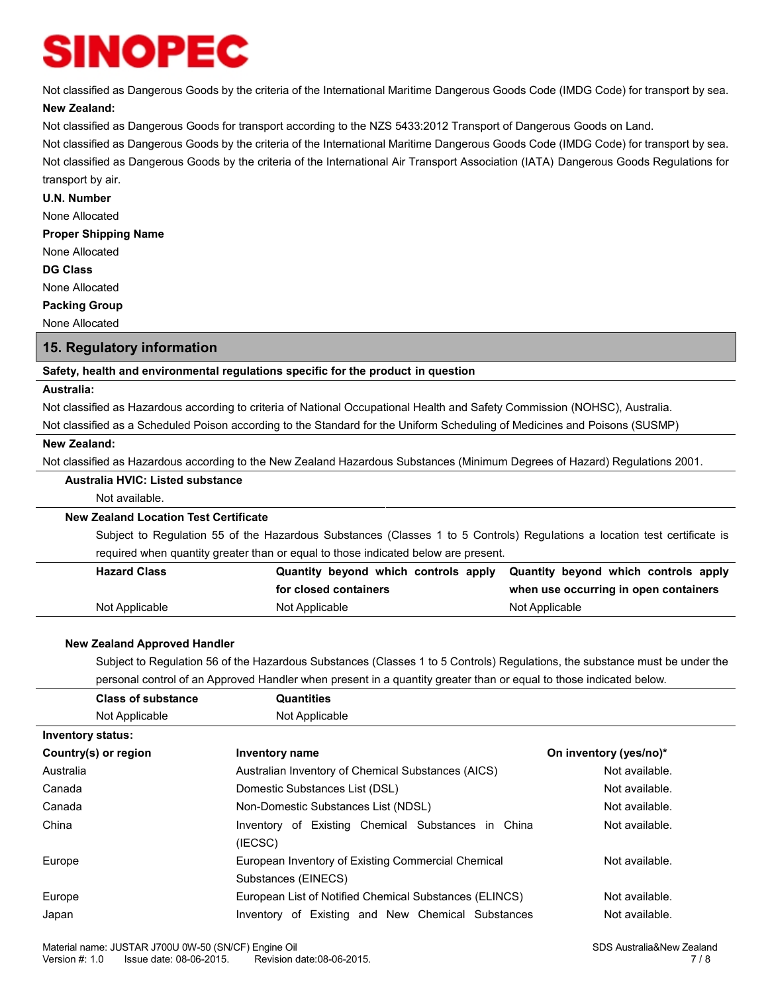Not classified as Dangerous Goods by the criteria of the International Maritime Dangerous Goods Code (IMDG Code) for transport by sea.

### **New Zealand:**

Not classified as Dangerous Goods for transport according to the NZS 5433:2012 Transport of Dangerous Goods on Land.

Not classified as Dangerous Goods by the criteria of the International Maritime Dangerous Goods Code (IMDG Code) for transport by sea. Not classified as Dangerous Goods by the criteria of the International Air Transport Association (IATA) Dangerous Goods Regulations for transport by air.

#### **U.N. Number**

None Allocated

### **Proper Shipping Name**

None Allocated

### **DG Class**

None Allocated

### **Packing Group**

None Allocated

### **15. Regulatory information**

### **Safety, health and environmental regulations specific for the product in question**

#### **Australia:**

Not classified as Hazardous according to criteria of National Occupational Health and Safety Commission (NOHSC), Australia.

Not classified as a Scheduled Poison according to the Standard for the Uniform Scheduling of Medicines and Poisons (SUSMP)

#### **New Zealand:**

Not classified as Hazardous according to the New Zealand Hazardous Substances (Minimum Degrees of Hazard) Regulations 2001.

### **Australia HVIC: Listed substance**

Not available.

### **New Zealand Location Test Certificate**

Subject to Regulation 55 of the Hazardous Substances (Classes 1 to 5 Controls) Regulations a location test certificate is required when quantity greater than or equal to those indicated below are present.

| <b>Hazard Class</b> |                       | Quantity beyond which controls apply Quantity beyond which controls apply |
|---------------------|-----------------------|---------------------------------------------------------------------------|
|                     | for closed containers | when use occurring in open containers                                     |
| Not Applicable      | Not Applicable        | Not Applicable                                                            |

#### **New Zealand Approved Handler**

Subject to Regulation 56 of the Hazardous Substances (Classes 1 to 5 Controls) Regulations, the substance must be under the personal control of an Approved Handler when present in a quantity greater than or equal to those indicated below.

| <b>Class of substance</b> | <b>Quantities</b>                                                         |                        |
|---------------------------|---------------------------------------------------------------------------|------------------------|
| Not Applicable            | Not Applicable                                                            |                        |
| <b>Inventory status:</b>  |                                                                           |                        |
| Country(s) or region      | Inventory name                                                            | On inventory (yes/no)* |
| Australia                 | Australian Inventory of Chemical Substances (AICS)                        | Not available.         |
| Canada                    | Domestic Substances List (DSL)                                            | Not available.         |
| Canada                    | Non-Domestic Substances List (NDSL)                                       | Not available.         |
| China                     | Inventory of Existing Chemical Substances in China<br>(IECSC)             | Not available.         |
| Europe                    | European Inventory of Existing Commercial Chemical<br>Substances (EINECS) | Not available.         |
| Europe                    | European List of Notified Chemical Substances (ELINCS)                    | Not available.         |
| Japan                     | Inventory of Existing and New Chemical Substances                         | Not available.         |